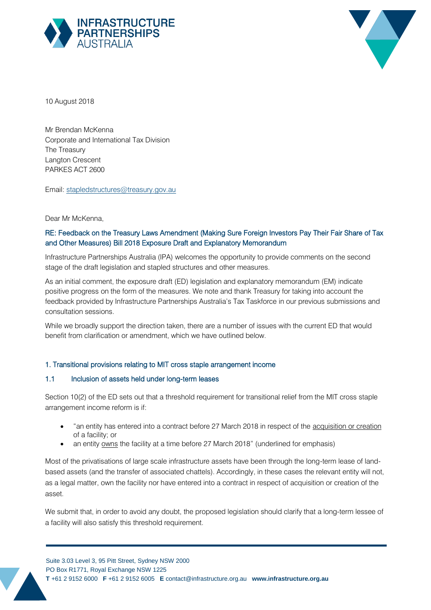



10 August 2018

Mr Brendan McKenna Corporate and International Tax Division The Treasury Langton Crescent PARKES ACT 2600

Email: stapledstructures@treasury.gov.au

#### Dear Mr McKenna,

# RE: Feedback on the Treasury Laws Amendment (Making Sure Foreign Investors Pay Their Fair Share of Tax and Other Measures) Bill 2018 Exposure Draft and Explanatory Memorandum

Infrastructure Partnerships Australia (IPA) welcomes the opportunity to provide comments on the second stage of the draft legislation and stapled structures and other measures.

As an initial comment, the exposure draft (ED) legislation and explanatory memorandum (EM) indicate positive progress on the form of the measures. We note and thank Treasury for taking into account the feedback provided by Infrastructure Partnerships Australia's Tax Taskforce in our previous submissions and consultation sessions.

While we broadly support the direction taken, there are a number of issues with the current ED that would benefit from clarification or amendment, which we have outlined below.

#### 1. Transitional provisions relating to MIT cross staple arrangement income

## 1.1 Inclusion of assets held under long-term leases

Section 10(2) of the ED sets out that a threshold requirement for transitional relief from the MIT cross staple arrangement income reform is if:

- "an entity has entered into a contract before 27 March 2018 in respect of the acquisition or creation of a facility; or
- an entity owns the facility at a time before 27 March 2018" (underlined for emphasis)

Most of the privatisations of large scale infrastructure assets have been through the long-term lease of landbased assets (and the transfer of associated chattels). Accordingly, in these cases the relevant entity will not, as a legal matter, own the facility nor have entered into a contract in respect of acquisition or creation of the asset.

We submit that, in order to avoid any doubt, the proposed legislation should clarify that a long-term lessee of a facility will also satisfy this threshold requirement.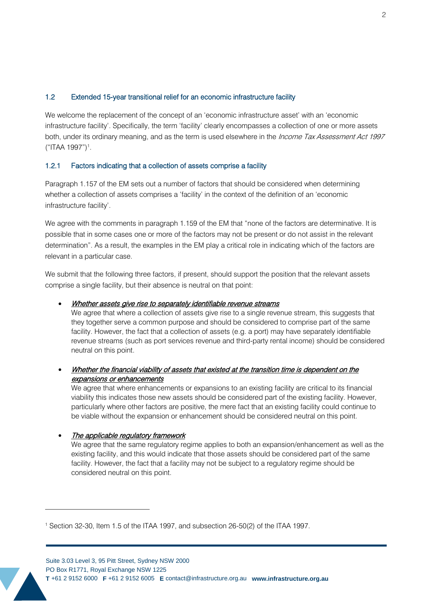### 1.2 Extended 15-year transitional relief for an economic infrastructure facility

We welcome the replacement of the concept of an 'economic infrastructure asset' with an 'economic infrastructure facility'. Specifically, the term 'facility' clearly encompasses a collection of one or more assets both, under its ordinary meaning, and as the term is used elsewhere in the *Income Tax Assessment Act 1997* ("ITAA 1997")<sup>1</sup>.

### 1.2.1 Factors indicating that a collection of assets comprise a facility

Paragraph 1.157 of the EM sets out a number of factors that should be considered when determining whether a collection of assets comprises a 'facility' in the context of the definition of an 'economic infrastructure facility'.

We agree with the comments in paragraph 1.159 of the EM that "none of the factors are determinative. It is possible that in some cases one or more of the factors may not be present or do not assist in the relevant determination". As a result, the examples in the EM play a critical role in indicating which of the factors are relevant in a particular case.

We submit that the following three factors, if present, should support the position that the relevant assets comprise a single facility, but their absence is neutral on that point:

#### • Whether assets give rise to separately identifiable revenue streams

We agree that where a collection of assets give rise to a single revenue stream, this suggests that they together serve a common purpose and should be considered to comprise part of the same facility. However, the fact that a collection of assets (e.g. a port) may have separately identifiable revenue streams (such as port services revenue and third-party rental income) should be considered neutral on this point.

• Whether the financial viability of assets that existed at the transition time is dependent on the expansions or enhancements

We agree that where enhancements or expansions to an existing facility are critical to its financial viability this indicates those new assets should be considered part of the existing facility. However, particularly where other factors are positive, the mere fact that an existing facility could continue to be viable without the expansion or enhancement should be considered neutral on this point.

#### The applicable regulatory framework

 $\overline{a}$ 

We agree that the same regulatory regime applies to both an expansion/enhancement as well as the existing facility, and this would indicate that those assets should be considered part of the same facility. However, the fact that a facility may not be subject to a regulatory regime should be considered neutral on this point.

<sup>1</sup> Section 32-30, Item 1.5 of the ITAA 1997, and subsection 26-50(2) of the ITAA 1997.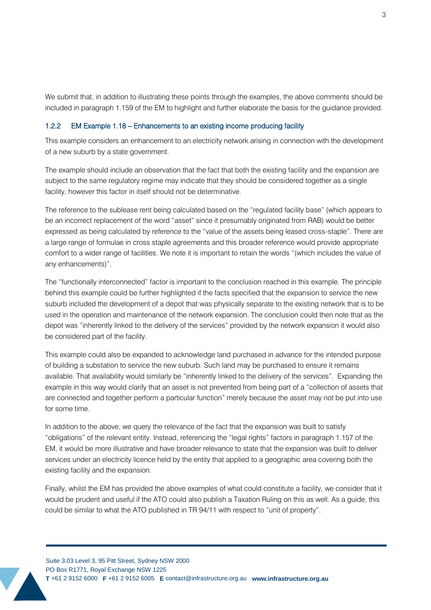We submit that, in addition to illustrating these points through the examples, the above comments should be included in paragraph 1.159 of the EM to highlight and further elaborate the basis for the guidance provided.

#### 1.2.2 EM Example 1.18 – Enhancements to an existing income producing facility

This example considers an enhancement to an electricity network arising in connection with the development of a new suburb by a state government.

The example should include an observation that the fact that both the existing facility and the expansion are subject to the same regulatory regime may indicate that they should be considered together as a single facility, however this factor in itself should not be determinative.

The reference to the sublease rent being calculated based on the "regulated facility base" (which appears to be an incorrect replacement of the word "asset" since it presumably originated from RAB) would be better expressed as being calculated by reference to the "value of the assets being leased cross-staple". There are a large range of formulae in cross staple agreements and this broader reference would provide appropriate comfort to a wider range of facilities. We note it is important to retain the words "(which includes the value of any enhancements)".

The "functionally interconnected" factor is important to the conclusion reached in this example. The principle behind this example could be further highlighted if the facts specified that the expansion to service the new suburb included the development of a depot that was physically separate to the existing network that is to be used in the operation and maintenance of the network expansion. The conclusion could then note that as the depot was "inherently linked to the delivery of the services" provided by the network expansion it would also be considered part of the facility.

This example could also be expanded to acknowledge land purchased in advance for the intended purpose of building a substation to service the new suburb. Such land may be purchased to ensure it remains available. That availability would similarly be "inherently linked to the delivery of the services". Expanding the example in this way would clarify that an asset is not prevented from being part of a "collection of assets that are connected and together perform a particular function" merely because the asset may not be put into use for some time.

In addition to the above, we query the relevance of the fact that the expansion was built to satisfy "obligations" of the relevant entity. Instead, referencing the "legal rights" factors in paragraph 1.157 of the EM, it would be more illustrative and have broader relevance to state that the expansion was built to deliver services under an electricity licence held by the entity that applied to a geographic area covering both the existing facility and the expansion.

Finally, whilst the EM has provided the above examples of what could constitute a facility, we consider that it would be prudent and useful if the ATO could also publish a Taxation Ruling on this as well. As a guide, this could be similar to what the ATO published in TR 94/11 with respect to "unit of property".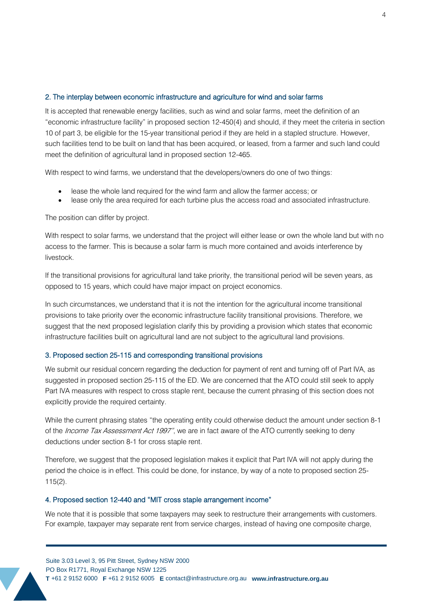### 2. The interplay between economic infrastructure and agriculture for wind and solar farms

It is accepted that renewable energy facilities, such as wind and solar farms, meet the definition of an "economic infrastructure facility" in proposed section 12-450(4) and should, if they meet the criteria in section 10 of part 3, be eligible for the 15-year transitional period if they are held in a stapled structure. However, such facilities tend to be built on land that has been acquired, or leased, from a farmer and such land could meet the definition of agricultural land in proposed section 12-465.

With respect to wind farms, we understand that the developers/owners do one of two things:

- lease the whole land required for the wind farm and allow the farmer access; or
- lease only the area required for each turbine plus the access road and associated infrastructure.

The position can differ by project.

With respect to solar farms, we understand that the project will either lease or own the whole land but with no access to the farmer. This is because a solar farm is much more contained and avoids interference by livestock.

If the transitional provisions for agricultural land take priority, the transitional period will be seven years, as opposed to 15 years, which could have major impact on project economics.

In such circumstances, we understand that it is not the intention for the agricultural income transitional provisions to take priority over the economic infrastructure facility transitional provisions. Therefore, we suggest that the next proposed legislation clarify this by providing a provision which states that economic infrastructure facilities built on agricultural land are not subject to the agricultural land provisions.

#### 3. Proposed section 25-115 and corresponding transitional provisions

We submit our residual concern regarding the deduction for payment of rent and turning off of Part IVA, as suggested in proposed section 25-115 of the ED. We are concerned that the ATO could still seek to apply Part IVA measures with respect to cross staple rent, because the current phrasing of this section does not explicitly provide the required certainty.

While the current phrasing states "the operating entity could otherwise deduct the amount under section 8-1 of the Income Tax Assessment Act 1997", we are in fact aware of the ATO currently seeking to deny deductions under section 8-1 for cross staple rent.

Therefore, we suggest that the proposed legislation makes it explicit that Part IVA will not apply during the period the choice is in effect. This could be done, for instance, by way of a note to proposed section 25- 115(2).

#### 4. Proposed section 12-440 and "MIT cross staple arrangement income"

We note that it is possible that some taxpayers may seek to restructure their arrangements with customers. For example, taxpayer may separate rent from service charges, instead of having one composite charge,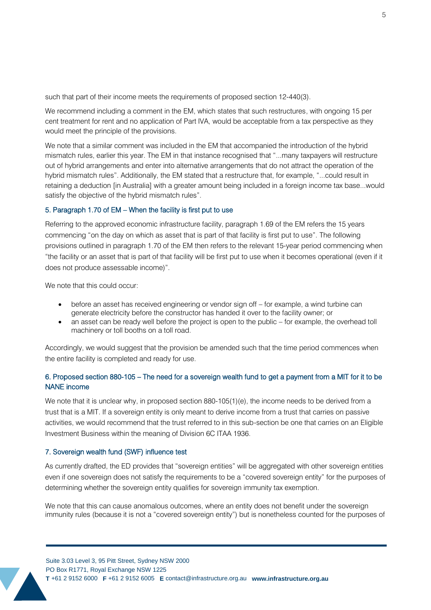such that part of their income meets the requirements of proposed section 12-440(3).

We recommend including a comment in the EM, which states that such restructures, with ongoing 15 per cent treatment for rent and no application of Part IVA, would be acceptable from a tax perspective as they would meet the principle of the provisions.

We note that a similar comment was included in the EM that accompanied the introduction of the hybrid mismatch rules, earlier this year. The EM in that instance recognised that "...many taxpayers will restructure out of hybrid arrangements and enter into alternative arrangements that do not attract the operation of the hybrid mismatch rules". Additionally, the EM stated that a restructure that, for example, "...could result in retaining a deduction [in Australia] with a greater amount being included in a foreign income tax base...would satisfy the objective of the hybrid mismatch rules".

#### 5. Paragraph 1.70 of EM – When the facility is first put to use

Referring to the approved economic infrastructure facility, paragraph 1.69 of the EM refers the 15 years commencing "on the day on which as asset that is part of that facility is first put to use". The following provisions outlined in paragraph 1.70 of the EM then refers to the relevant 15-year period commencing when "the facility or an asset that is part of that facility will be first put to use when it becomes operational (even if it does not produce assessable income)".

We note that this could occur:

- before an asset has received engineering or vendor sign off for example, a wind turbine can generate electricity before the constructor has handed it over to the facility owner; or
- an asset can be ready well before the project is open to the public for example, the overhead toll machinery or toll booths on a toll road.

Accordingly, we would suggest that the provision be amended such that the time period commences when the entire facility is completed and ready for use.

# 6. Proposed section 880-105 – The need for a sovereign wealth fund to get a payment from a MIT for it to be NANE income

We note that it is unclear why, in proposed section 880-105(1)(e), the income needs to be derived from a trust that is a MIT. If a sovereign entity is only meant to derive income from a trust that carries on passive activities, we would recommend that the trust referred to in this sub-section be one that carries on an Eligible Investment Business within the meaning of Division 6C ITAA 1936.

### 7. Sovereign wealth fund (SWF) influence test

As currently drafted, the ED provides that "sovereign entities" will be aggregated with other sovereign entities even if one sovereign does not satisfy the requirements to be a "covered sovereign entity" for the purposes of determining whether the sovereign entity qualifies for sovereign immunity tax exemption.

We note that this can cause anomalous outcomes, where an entity does not benefit under the sovereign immunity rules (because it is not a "covered sovereign entity") but is nonetheless counted for the purposes of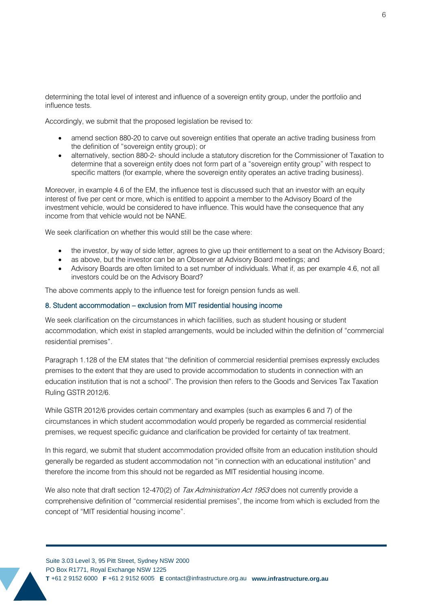determining the total level of interest and influence of a sovereign entity group, under the portfolio and influence tests.

Accordingly, we submit that the proposed legislation be revised to:

- amend section 880-20 to carve out sovereign entities that operate an active trading business from the definition of "sovereign entity group); or
- alternatively, section 880-2- should include a statutory discretion for the Commissioner of Taxation to determine that a sovereign entity does not form part of a "sovereign entity group" with respect to specific matters (for example, where the sovereign entity operates an active trading business).

Moreover, in example 4.6 of the EM, the influence test is discussed such that an investor with an equity interest of five per cent or more, which is entitled to appoint a member to the Advisory Board of the investment vehicle, would be considered to have influence. This would have the consequence that any income from that vehicle would not be NANE.

We seek clarification on whether this would still be the case where:

- the investor, by way of side letter, agrees to give up their entitlement to a seat on the Advisory Board;
- as above, but the investor can be an Observer at Advisory Board meetings; and
- Advisory Boards are often limited to a set number of individuals. What if, as per example 4.6, not all investors could be on the Advisory Board?

The above comments apply to the influence test for foreign pension funds as well.

#### 8. Student accommodation – exclusion from MIT residential housing income

We seek clarification on the circumstances in which facilities, such as student housing or student accommodation, which exist in stapled arrangements, would be included within the definition of "commercial residential premises".

Paragraph 1.128 of the EM states that "the definition of commercial residential premises expressly excludes premises to the extent that they are used to provide accommodation to students in connection with an education institution that is not a school". The provision then refers to the Goods and Services Tax Taxation Ruling GSTR 2012/6.

While GSTR 2012/6 provides certain commentary and examples (such as examples 6 and 7) of the circumstances in which student accommodation would properly be regarded as commercial residential premises, we request specific guidance and clarification be provided for certainty of tax treatment.

In this regard, we submit that student accommodation provided offsite from an education institution should generally be regarded as student accommodation not "in connection with an educational institution" and therefore the income from this should not be regarded as MIT residential housing income.

We also note that draft section 12-470(2) of Tax Administration Act 1953 does not currently provide a comprehensive definition of "commercial residential premises", the income from which is excluded from the concept of "MIT residential housing income".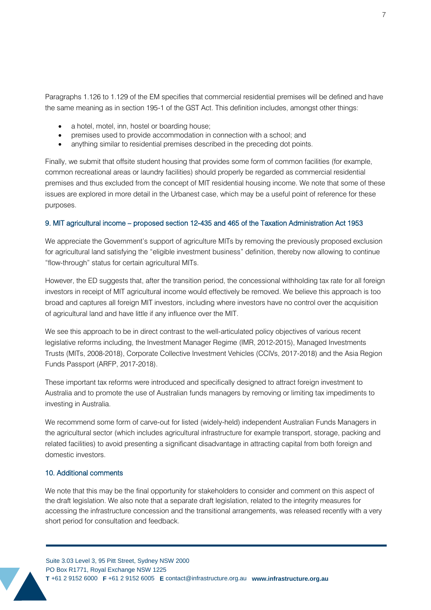Paragraphs 1.126 to 1.129 of the EM specifies that commercial residential premises will be defined and have the same meaning as in section 195-1 of the GST Act. This definition includes, amongst other things:

- a hotel, motel, inn, hostel or boarding house;
- premises used to provide accommodation in connection with a school; and
- anything similar to residential premises described in the preceding dot points.

Finally, we submit that offsite student housing that provides some form of common facilities (for example, common recreational areas or laundry facilities) should properly be regarded as commercial residential premises and thus excluded from the concept of MIT residential housing income. We note that some of these issues are explored in more detail in the Urbanest case, which may be a useful point of reference for these purposes.

#### 9. MIT agricultural income – proposed section 12-435 and 465 of the Taxation Administration Act 1953

We appreciate the Government's support of agriculture MITs by removing the previously proposed exclusion for agricultural land satisfying the "eligible investment business" definition, thereby now allowing to continue "flow-through" status for certain agricultural MITs.

However, the ED suggests that, after the transition period, the concessional withholding tax rate for all foreign investors in receipt of MIT agricultural income would effectively be removed. We believe this approach is too broad and captures all foreign MIT investors, including where investors have no control over the acquisition of agricultural land and have little if any influence over the MIT.

We see this approach to be in direct contrast to the well-articulated policy objectives of various recent legislative reforms including, the Investment Manager Regime (IMR, 2012-2015), Managed Investments Trusts (MITs, 2008-2018), Corporate Collective Investment Vehicles (CCIVs, 2017-2018) and the Asia Region Funds Passport (ARFP, 2017-2018).

These important tax reforms were introduced and specifically designed to attract foreign investment to Australia and to promote the use of Australian funds managers by removing or limiting tax impediments to investing in Australia.

We recommend some form of carve-out for listed (widely-held) independent Australian Funds Managers in the agricultural sector (which includes agricultural infrastructure for example transport, storage, packing and related facilities) to avoid presenting a significant disadvantage in attracting capital from both foreign and domestic investors.

#### 10. Additional comments

We note that this may be the final opportunity for stakeholders to consider and comment on this aspect of the draft legislation. We also note that a separate draft legislation, related to the integrity measures for accessing the infrastructure concession and the transitional arrangements, was released recently with a very short period for consultation and feedback.